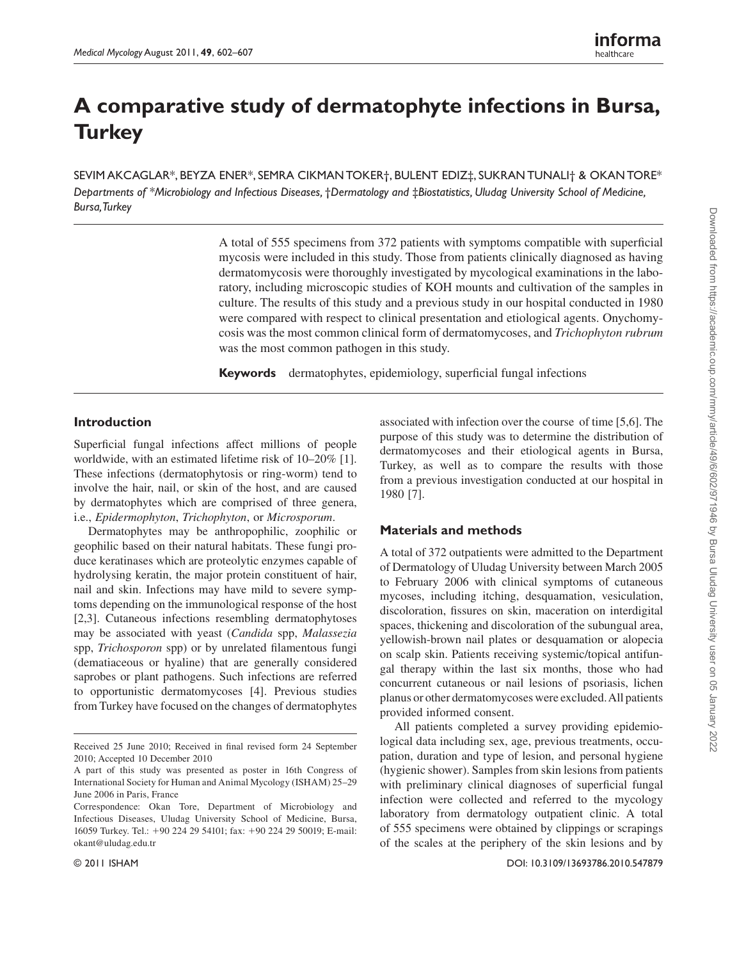# **A comparative study of dermatophyte infections in Bursa, Turkey**

SEVIM AKCAGLAR\*, BEYZA ENER\*, SEMRA CIKMAN TOKER†, BULENT EDIZ‡, SUKRAN TUNALI† & OKAN TORE\* *Departments of \* Microbiology and Infectious Diseases ,* †*Dermatology and* ‡*Biostatistics ,Uludag University School of Medicine , Bursa ,Turkey* 

> A total of 555 specimens from 372 patients with symptoms compatible with superficial mycosis were included in this study. Those from patients clinically diagnosed as having dermatomycosis were thoroughly investigated by mycological examinations in the laboratory, including microscopic studies of KOH mounts and cultivation of the samples in culture. The results of this study and a previous study in our hospital conducted in 1980 were compared with respect to clinical presentation and etiological agents. Onychomycosis was the most common clinical form of dermatomycoses, and *Trichophyton rubrum* was the most common pathogen in this study.

**Keywords** dermatophytes, epidemiology, superficial fungal infections

# **Introduction**

Superficial fungal infections affect millions of people worldwide, with an estimated lifetime risk of  $10-20\%$  [1]. These infections (dermatophytosis or ring-worm) tend to involve the hair, nail, or skin of the host, and are caused by dermatophytes which are comprised of three genera, i.e., *Epidermophyton*, *Trichophyton*, or *Microsporum*.

 Dermatophytes may be anthropophilic, zoophilic or geophilic based on their natural habitats. These fungi produce keratinases which are proteolytic enzymes capable of hydrolysing keratin, the major protein constituent of hair, nail and skin. Infections may have mild to severe symptoms depending on the immunological response of the host [2,3]. Cutaneous infections resembling dermatophytoses may be associated with yeast ( *Candida* spp, *Malassezia* spp, *Trichosporon* spp) or by unrelated filamentous fungi (dematiaceous or hyaline) that are generally considered saprobes or plant pathogens. Such infections are referred to opportunistic dermatomycoses [4]. Previous studies from Turkey have focused on the changes of dermatophytes

associated with infection over the course of time [5,6]. The purpose of this study was to determine the distribution of dermatomycoses and their etiological agents in Bursa, Turkey, as well as to compare the results with those from a previous investigation conducted at our hospital in 1980 [7].

### **Materials and methods**

 A total of 372 outpatients were admitted to the Department of Dermatology of Uludag University between March 2005 to February 2006 with clinical symptoms of cutaneous mycoses, including itching, desquamation, vesiculation, discoloration, fissures on skin, maceration on interdigital spaces, thickening and discoloration of the subungual area, yellowish-brown nail plates or desquamation or alopecia on scalp skin. Patients receiving systemic/topical antifungal therapy within the last six months, those who had concurrent cutaneous or nail lesions of psoriasis, lichen planus or other dermatomycoses were excluded. All patients provided informed consent.

 All patients completed a survey providing epidemiological data including sex, age, previous treatments, occupation, duration and type of lesion, and personal hygiene (hygienic shower). Samples from skin lesions from patients with preliminary clinical diagnoses of superficial fungal infection were collected and referred to the mycology laboratory from dermatology outpatient clinic. A total of 555 specimens were obtained by clippings or scrapings of the scales at the periphery of the skin lesions and by

Received 25 June 2010; Received in final revised form 24 September 2010; Accepted 10 December 2010

A part of this study was presented as poster in 16th Congress of International Society for Human and Animal Mycology (ISHAM) 25-29 June 2006 in Paris, France

Correspondence: Okan Tore, Department of Microbiology and Infectious Diseases, Uludag University School of Medicine, Bursa, 16059 Turkey. Tel.: +90 224 29 54101; fax: +90 224 29 50019; E-mail: okant@uludag.edu.tr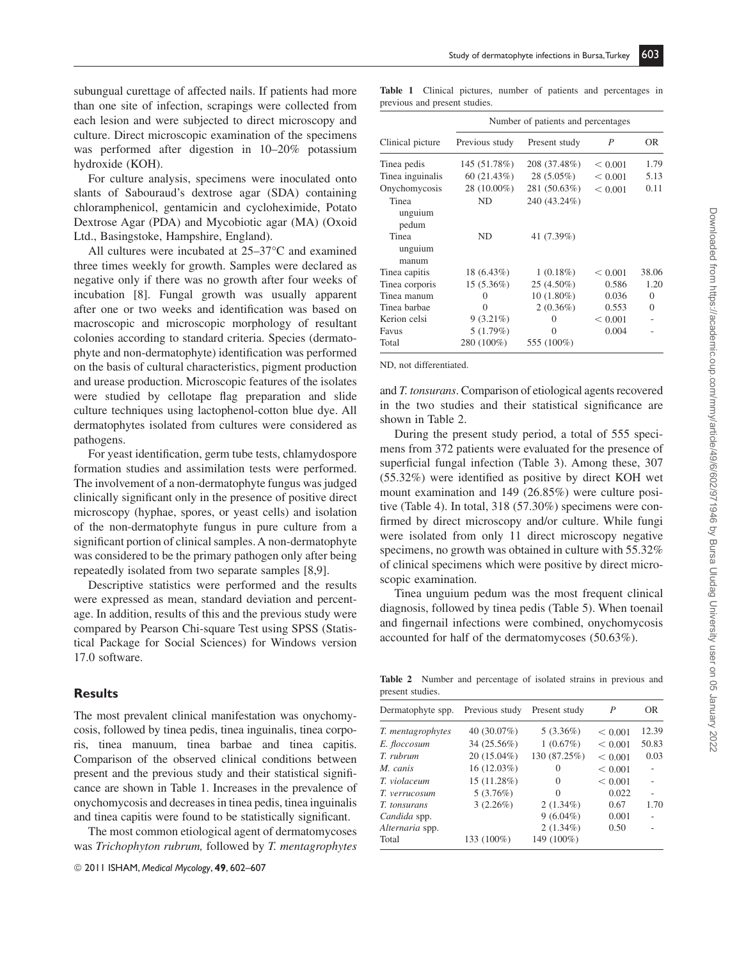subungual curettage of affected nails. If patients had more than one site of infection, scrapings were collected from each lesion and were subjected to direct microscopy and culture. Direct microscopic examination of the specimens was performed after digestion in  $10-20\%$  potassium hydroxide (KOH).

 For culture analysis, specimens were inoculated onto slants of Sabouraud's dextrose agar (SDA) containing chloramphenicol, gentamicin and cycloheximide, Potato Dextrose Agar (PDA) and Mycobiotic agar (MA) (Oxoid Ltd., Basingstoke, Hampshire, England).

All cultures were incubated at  $25-37$ °C and examined three times weekly for growth. Samples were declared as negative only if there was no growth after four weeks of incubation [8]. Fungal growth was usually apparent after one or two weeks and identification was based on macroscopic and microscopic morphology of resultant colonies according to standard criteria. Species (dermatophyte and non-dermatophyte) identification was performed on the basis of cultural characteristics, pigment production and urease production. Microscopic features of the isolates were studied by cellotape flag preparation and slide culture techniques using lactophenol-cotton blue dye. All dermatophytes isolated from cultures were considered as pathogens.

For yeast identification, germ tube tests, chlamydospore formation studies and assimilation tests were performed. The involvement of a non-dermatophyte fungus was judged clinically significant only in the presence of positive direct microscopy (hyphae, spores, or yeast cells) and isolation of the non-dermatophyte fungus in pure culture from a significant portion of clinical samples. A non-dermatophyte was considered to be the primary pathogen only after being repeatedly isolated from two separate samples [8,9].

 Descriptive statistics were performed and the results were expressed as mean, standard deviation and percentage. In addition, results of this and the previous study were compared by Pearson Chi-square Test using SPSS (Statistical Package for Social Sciences) for Windows version 17.0 software.

# **Results**

 The most prevalent clinical manifestation was onychomycosis, followed by tinea pedis, tinea inguinalis, tinea corporis, tinea manuum, tinea barbae and tinea capitis. Comparison of the observed clinical conditions between present and the previous study and their statistical significance are shown in Table 1. Increases in the prevalence of onychomycosis and decreases in tinea pedis, tinea inguinalis and tinea capitis were found to be statistically significant.

 The most common etiological agent of dermatomycoses was *Trichophyton rubrum,* followed by *T. mentagrophytes*

 **Table 1** Clinical pictures, number of patients and percentages in previous and present studies .

|                  | Number of patients and percentages |               |             |           |  |  |  |  |
|------------------|------------------------------------|---------------|-------------|-----------|--|--|--|--|
| Clinical picture | Previous study                     | Present study | P           | <b>OR</b> |  |  |  |  |
| Tinea pedis      | 145 (51.78%)                       | 208 (37.48%)  | ${}< 0.001$ | 1.79      |  |  |  |  |
| Tinea inguinalis | 60(21.43%)                         | $28(5.05\%)$  | < 0.001     | 5.13      |  |  |  |  |
| Onychomycosis    | 28 (10.00%)                        | 281 (50.63%)  | < 0.001     | 0.11      |  |  |  |  |
| Tinea            | ND                                 | 240 (43.24%)  |             |           |  |  |  |  |
| unguium          |                                    |               |             |           |  |  |  |  |
| pedum            |                                    |               |             |           |  |  |  |  |
| Tinea            | ND                                 | 41 (7.39%)    |             |           |  |  |  |  |
| unguium          |                                    |               |             |           |  |  |  |  |
| manum            |                                    |               |             |           |  |  |  |  |
| Tinea capitis    | 18 (6.43%)                         | $1(0.18\%)$   | ${}< 0.001$ | 38.06     |  |  |  |  |
| Tinea corporis   | $15(5.36\%)$                       | 25 (4.50%)    | 0.586       | 1.20      |  |  |  |  |
| Tinea manum      | $\theta$                           | 10 (1.80%)    | 0.036       | $\Omega$  |  |  |  |  |
| Tinea barbae     | 0                                  | $2(0.36\%)$   | 0.553       | 0         |  |  |  |  |
| Kerion celsi     | $9(3.21\%)$                        | $\Omega$      | < 0.001     |           |  |  |  |  |
| Favus            | 5(1.79%)                           | $\Omega$      | 0.004       |           |  |  |  |  |
| Total            | 280 (100%)                         | 555 (100%)    |             |           |  |  |  |  |

ND, not differentiated.

and *T. tonsurans* . Comparison of etiological agents recovered in the two studies and their statistical significance are shown in Table 2.

 During the present study period, a total of 555 specimens from 372 patients were evaluated for the presence of superficial fungal infection (Table 3). Among these, 307  $(55.32\%)$  were identified as positive by direct KOH wet mount examination and 149 (26.85%) were culture positive (Table 4). In total, 318 (57.30%) specimens were confirmed by direct microscopy and/or culture. While fungi were isolated from only 11 direct microscopy negative specimens, no growth was obtained in culture with 55.32% of clinical specimens which were positive by direct microscopic examination.

 Tinea unguium pedum was the most frequent clinical diagnosis, followed by tinea pedis (Table 5). When toenail and fingernail infections were combined, onychomycosis accounted for half of the dermatomycoses (50.63%).

 **Table 2** Number and percentage of isolated strains in previous and present studies.

| Dermatophyte spp. | Previous study | Present study | P           | OR.   |  |
|-------------------|----------------|---------------|-------------|-------|--|
| T. mentagrophytes | 40 $(30.07\%)$ | $5(3.36\%)$   | < 0.001     | 12.39 |  |
| E. floccosum      | 34 (25.56%)    | 1(0.67%)      | ${}< 0.001$ | 50.83 |  |
| T. rubrum         | 20 (15.04%)    | 130 (87.25%)  | ${}< 0.001$ | 0.03  |  |
| M. canis          | 16 (12.03%)    | $\theta$      | ${}< 0.001$ |       |  |
| T. violaceum      | 15 (11.28%)    | $\Omega$      | ${}< 0.001$ |       |  |
| T. verrucosum     | 5(3.76%)       | $\Omega$      | 0.022       |       |  |
| T. tonsurans      | $3(2.26\%)$    | $2(1.34\%)$   | 0.67        | 1.70  |  |
| Candida spp.      |                | $9(6.04\%)$   | 0.001       |       |  |
| Alternaria spp.   |                | $2(1.34\%)$   | 0.50        |       |  |
| Total             | 133 (100%)     | 149 (100%)    |             |       |  |
|                   |                |               |             |       |  |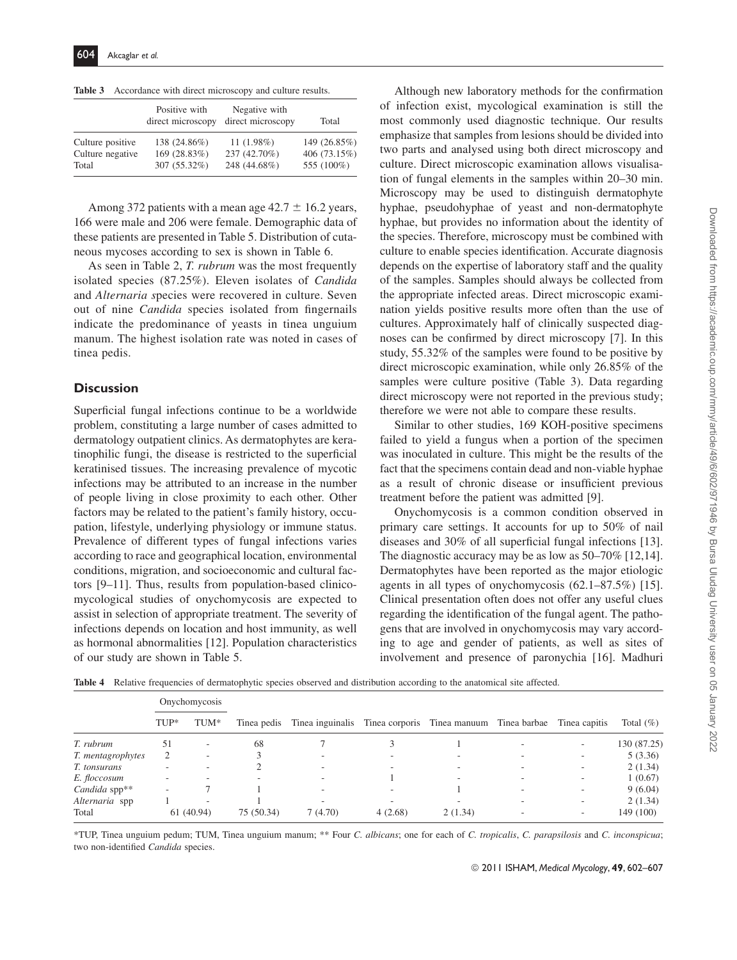**Table 3** Accordance with direct microscopy and culture results.

| Positive with<br>direct microscopy | Negative with<br>direct microscopy | Total        |
|------------------------------------|------------------------------------|--------------|
| 138 (24.86%)                       | $11(1.98\%)$                       | 149 (26.85%) |
| 169 (28.83%)                       | 237 (42.70%)                       | 406 (73.15%) |
| 307 (55.32%)                       | 248 (44.68%)                       | 555 (100%)   |
|                                    |                                    |              |

Among 372 patients with a mean age  $42.7 \pm 16.2$  years, 166 were male and 206 were female. Demographic data of these patients are presented in Table 5. Distribution of cutaneous mycoses according to sex is shown in Table 6.

 As seen in Table 2, *T. rubrum* was the most frequently isolated species (87.25%). Eleven isolates of *Candida* and *Alternaria s* pecies were recovered in culture. Seven out of nine *Candida* species isolated from fingernails indicate the predominance of yeasts in tinea unguium manum. The highest isolation rate was noted in cases of tinea pedis.

# **Discussion**

Superficial fungal infections continue to be a worldwide problem, constituting a large number of cases admitted to dermatology outpatient clinics. As dermatophytes are keratinophilic fungi, the disease is restricted to the superficial keratinised tissues. The increasing prevalence of mycotic infections may be attributed to an increase in the number of people living in close proximity to each other. Other factors may be related to the patient's family history, occupation, lifestyle, underlying physiology or immune status. Prevalence of different types of fungal infections varies according to race and geographical location, environmental conditions, migration, and socioeconomic and cultural factors  $[9-11]$ . Thus, results from population-based clinicomycological studies of onychomycosis are expected to assist in selection of appropriate treatment. The severity of infections depends on location and host immunity, as well as hormonal abnormalities [12]. Population characteristics of our study are shown in Table 5.

Although new laboratory methods for the confirmation of infection exist, mycological examination is still the most commonly used diagnostic technique. Our results emphasize that samples from lesions should be divided into two parts and analysed using both direct microscopy and culture. Direct microscopic examination allows visualisation of fungal elements in the samples within 20–30 min. Microscopy may be used to distinguish dermatophyte hyphae, pseudohyphae of yeast and non-dermatophyte hyphae, but provides no information about the identity of the species. Therefore, microscopy must be combined with culture to enable species identification. Accurate diagnosis depends on the expertise of laboratory staff and the quality of the samples. Samples should always be collected from the appropriate infected areas. Direct microscopic examination yields positive results more often than the use of cultures. Approximately half of clinically suspected diagnoses can be confirmed by direct microscopy [7]. In this study, 55.32% of the samples were found to be positive by direct microscopic examination, while only 26.85% of the samples were culture positive (Table 3). Data regarding direct microscopy were not reported in the previous study; therefore we were not able to compare these results.

 Similar to other studies, 169 KOH-positive specimens failed to yield a fungus when a portion of the specimen was inoculated in culture. This might be the results of the fact that the specimens contain dead and non-viable hyphae as a result of chronic disease or insufficient previous treatment before the patient was admitted [9].

 Onychomycosis is a common condition observed in primary care settings. It accounts for up to 50% of nail diseases and  $30\%$  of all superficial fungal infections [13]. The diagnostic accuracy may be as low as  $50-70\%$  [12,14]. Dermatophytes have been reported as the major etiologic agents in all types of onychomycosis  $(62.1 - 87.5\%)$  [15]. Clinical presentation often does not offer any useful clues regarding the identification of the fungal agent. The pathogens that are involved in onychomycosis may vary according to age and gender of patients, as well as sites of involvement and presence of paronychia [16]. Madhuri

 **Table 4** Relative frequencies of dermatophytic species observed and distribution according to the anatomical site affected.

|                   | Onychomycosis |           |             |                                              |                 |         |                            |      |              |
|-------------------|---------------|-----------|-------------|----------------------------------------------|-----------------|---------|----------------------------|------|--------------|
|                   | TUP*          | TUM*      | Tinea pedis | Tinea inguinalis Tinea corporis Tinea manuum |                 |         | Tinea barbae Tinea capitis |      | Total $(\%)$ |
| T. rubrum         | 51            |           | 68          |                                              |                 |         |                            | $\,$ | 130 (87.25)  |
| T. mentagrophytes |               |           |             |                                              | ۰               |         |                            |      | 5(3.36)      |
| T. tonsurans      |               |           |             |                                              | -               |         |                            |      | 2(1.34)      |
| E. floccosum      |               |           |             |                                              |                 |         |                            | -    | 1(0.67)      |
| Candida spp**     |               |           |             |                                              |                 |         |                            |      | 9(6.04)      |
| Alternaria spp    |               |           |             |                                              | $\qquad \qquad$ |         |                            |      | 2(1.34)      |
| Total             |               | 61(40.94) | 75 (50.34)  | 7(4.70)                                      | 4(2.68)         | 2(1.34) |                            |      | 149 (100)    |

 \* TUP, Tinea unguium pedum; TUM, Tinea unguium manum; \* \* Four *C. albicans* ; one for each of *C. tropicalis* , *C. parapsilosis* and *C. inconspicua* ; two non-identified *Candida* species.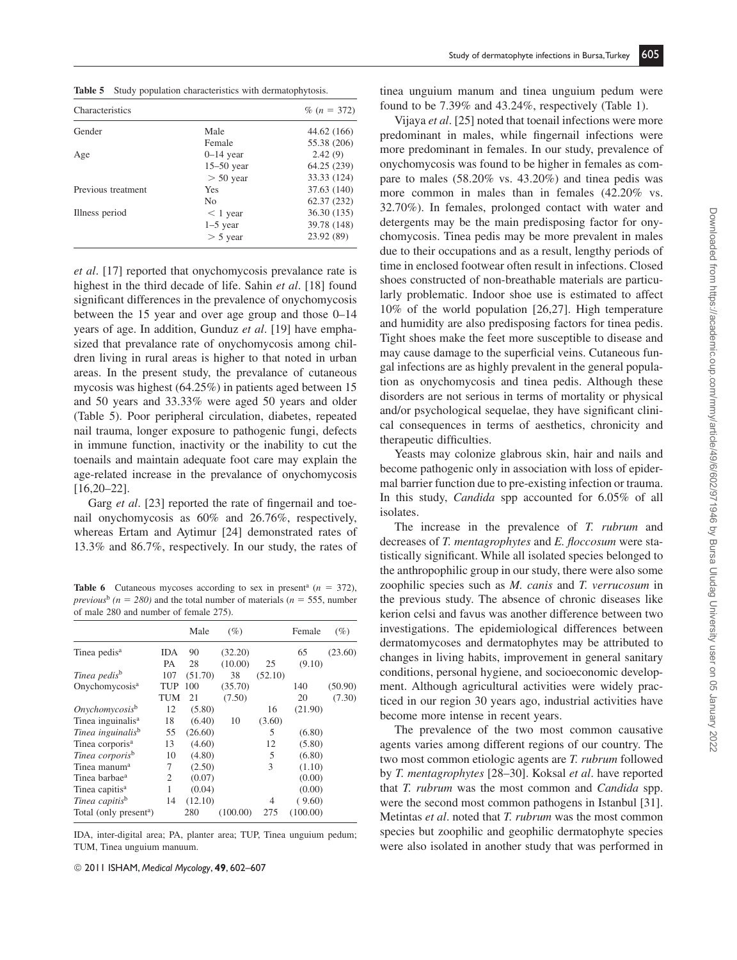**Table 5** Study population characteristics with dermatophytosis.

| Characteristics    |                | % $(n = 372)$ |
|--------------------|----------------|---------------|
| Gender             | Male           | 44.62 (166)   |
|                    | Female         | 55.38 (206)   |
| Age                | $0-14$ year    | 2.42(9)       |
|                    | $15-50$ year   | 64.25 (239)   |
|                    | $> 50$ year    | 33.33 (124)   |
| Previous treatment | Yes            | 37.63 (140)   |
|                    | N <sub>0</sub> | 62.37(232)    |
| Illness period     | $<$ 1 year     | 36.30 (135)   |
|                    | $1-5$ year     | 39.78 (148)   |
|                    | $> 5$ year     | 23.92 (89)    |

*et al* . [17] reported that onychomycosis prevalance rate is highest in the third decade of life. Sahin *et al* . [18] found significant differences in the prevalence of onychomycosis between the 15 year and over age group and those  $0-14$ years of age. In addition, Gunduz *et al* . [19] have emphasized that prevalance rate of onychomycosis among children living in rural areas is higher to that noted in urban areas. In the present study, the prevalance of cutaneous mycosis was highest (64.25%) in patients aged between 15 and 50 years and 33.33% were aged 50 years and older (Table 5). Poor peripheral circulation, diabetes, repeated nail trauma, longer exposure to pathogenic fungi, defects in immune function, inactivity or the inability to cut the toenails and maintain adequate foot care may explain the age-related increase in the prevalance of onychomycosis  $[16, 20 - 22]$ .

Garg *et al.* [23] reported the rate of fingernail and toenail onychomycosis as 60% and 26.76%, respectively, whereas Ertam and Aytimur [24] demonstrated rates of 13.3% and 86.7%, respectively. In our study, the rates of

**Table 6** Cutaneous mycoses according to sex in present<sup>a</sup>  $(n = 372)$ , *previous*<sup>b</sup>  $(n = 280)$  and the total number of materials  $(n = 555)$ , number of male 280 and number of female 275) .

|                                    |     | Male    | $(\%)$   |         | Female   | $(\%)$  |
|------------------------------------|-----|---------|----------|---------|----------|---------|
| Tinea pedis <sup>a</sup>           | IDA | 90      | (32.20)  |         | 65       | (23.60) |
|                                    | РA  | 28      | (10.00)  | 25      | (9.10)   |         |
| Tinea pedis <sup>b</sup>           | 107 | (51.70) | 38       | (52.10) |          |         |
| Onychomycosis <sup>a</sup>         | TUP | 100     | (35.70)  |         | 140      | (50.90) |
|                                    | TUM | 21      | (7.50)   |         | 20       | (7.30)  |
| Onychomycosis <sup>b</sup>         | 12  | (5.80)  |          | 16      | (21.90)  |         |
| Tinea inguinalis <sup>a</sup>      | 18  | (6.40)  | 10       | (3.60)  |          |         |
| Tinea inguinalis <sup>b</sup>      | 55  | (26.60) |          | 5       | (6.80)   |         |
| Tinea corporis <sup>a</sup>        | 13  | (4.60)  |          | 12      | (5.80)   |         |
| Tinea corporis <sup>b</sup>        | 10  | (4.80)  |          | 5       | (6.80)   |         |
| Tinea manum <sup>a</sup>           | 7   | (2.50)  |          | 3       | (1.10)   |         |
| Tinea barbae <sup>a</sup>          | 2   | (0.07)  |          |         | (0.00)   |         |
| Tinea capitis <sup>a</sup>         | 1   | (0.04)  |          |         | (0.00)   |         |
| Tinea capitis <sup>b</sup>         | 14  | (12.10) |          | 4       | (9.60)   |         |
| Total (only present <sup>a</sup> ) |     | 280     | (100.00) | 275     | (100.00) |         |

 IDA, inter-digital area; PA, planter area; TUP, Tinea unguium pedum; TUM, Tinea unguium manuum.

© 2011 ISHAM, *Medical Mycology*, **49**, 602–607

tinea unguium manum and tinea unguium pedum were found to be 7.39% and 43.24%, respectively (Table 1).

 Vijaya *et al* . [25] noted that toenail infections were more predominant in males, while fingernail infections were more predominant in females. In our study, prevalence of onychomycosis was found to be higher in females as compare to males (58.20% vs. 43.20%) and tinea pedis was more common in males than in females (42.20% vs. 32.70%). In females, prolonged contact with water and detergents may be the main predisposing factor for onychomycosis. Tinea pedis may be more prevalent in males due to their occupations and as a result, lengthy periods of time in enclosed footwear often result in infections. Closed shoes constructed of non-breathable materials are particularly problematic. Indoor shoe use is estimated to affect 10% of the world population [26,27]. High temperature and humidity are also predisposing factors for tinea pedis. Tight shoes make the feet more susceptible to disease and may cause damage to the superficial veins. Cutaneous fungal infections are as highly prevalent in the general population as onychomycosis and tinea pedis. Although these disorders are not serious in terms of mortality or physical and/or psychological sequelae, they have significant clinical consequences in terms of aesthetics, chronicity and therapeutic difficulties.

 Yeasts may colonize glabrous skin, hair and nails and become pathogenic only in association with loss of epidermal barrier function due to pre-existing infection or trauma. In this study, *Candida* spp accounted for 6.05% of all isolates.

 The increase in the prevalence of *T. rubrum* and decreases of *T. mentagrophytes* and *E. floccosum* were statistically significant. While all isolated species belonged to the anthropophilic group in our study, there were also some zoophilic species such as *M. canis* and *T. verrucosum* in the previous study. The absence of chronic diseases like kerion celsi and favus was another difference between two investigations. The epidemiological differences between dermatomycoses and dermatophytes may be attributed to changes in living habits, improvement in general sanitary conditions, personal hygiene, and socioeconomic development. Although agricultural activities were widely practiced in our region 30 years ago, industrial activities have become more intense in recent years.

 The prevalence of the two most common causative agents varies among different regions of our country. The two most common etiologic agents are *T. rubrum* followed by *T. mentagrophytes* [28-30]. Koksal et al. have reported that *T. rubrum* was the most common and *Candida* spp. were the second most common pathogens in Istanbul [31]. Metintas *et al* . noted that *T. rubrum* was the most common species but zoophilic and geophilic dermatophyte species were also isolated in another study that was performed in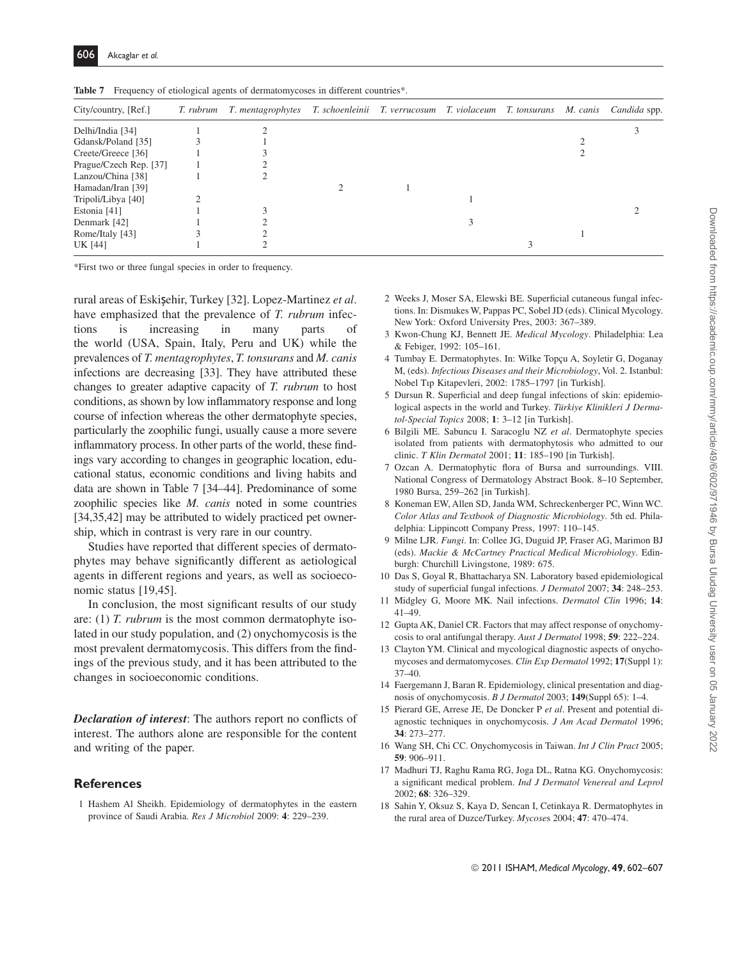| City/country, [Ref.]   | T. rubrum T. mentagrophytes | T. schoenleinii T. verrucosum T. violaceum T. tonsurans M. canis |  |  | Candida spp. |
|------------------------|-----------------------------|------------------------------------------------------------------|--|--|--------------|
| Delhi/India [34]       |                             |                                                                  |  |  |              |
| Gdansk/Poland [35]     |                             |                                                                  |  |  |              |
| Creete/Greece [36]     |                             |                                                                  |  |  |              |
| Prague/Czech Rep. [37] |                             |                                                                  |  |  |              |
| Lanzou/China [38]      |                             |                                                                  |  |  |              |
| Hamadan/Iran [39]      |                             |                                                                  |  |  |              |
| Tripoli/Libya [40]     |                             |                                                                  |  |  |              |
| Estonia [41]           |                             |                                                                  |  |  |              |
| Denmark [42]           |                             |                                                                  |  |  |              |
| Rome/Italy [43]        |                             |                                                                  |  |  |              |
| UK [44]                |                             |                                                                  |  |  |              |

Table 7 Frequency of etiological agents of dermatomycoses in different countries\*.

\* First two or three fungal species in order to frequency.

rural areas of Eskişehir, Turkey [32]. Lopez-Martinez *et al* . have emphasized that the prevalence of *T. rubrum* infections is increasing in many parts of the world (USA, Spain, Italy, Peru and UK) while the prevalences of *T. mentagrophytes* , *T. tonsurans* and *M. canis* infections are decreasing [33]. They have attributed these changes to greater adaptive capacity of *T. rubrum* to host conditions, as shown by low inflammatory response and long course of infection whereas the other dermatophyte species, particularly the zoophilic fungi, usually cause a more severe inflammatory process. In other parts of the world, these findings vary according to changes in geographic location, educational status, economic conditions and living habits and data are shown in Table 7 [34–44]. Predominance of some zoophilic species like *M. canis* noted in some countries [34,35,42] may be attributed to widely practiced pet ownership, which in contrast is very rare in our country.

 Studies have reported that different species of dermatophytes may behave significantly different as aetiological agents in different regions and years, as well as socioeconomic status [19,45].

In conclusion, the most significant results of our study are: (1) *T. rubrum* is the most common dermatophyte isolated in our study population, and (2) onychomycosis is the most prevalent dermatomycosis. This differs from the findings of the previous study, and it has been attributed to the changes in socioeconomic conditions.

*Declaration of interest*: The authors report no conflicts of interest. The authors alone are responsible for the content and writing of the paper.

### **References**

1 Hashem Al Sheikh. Epidemiology of dermatophytes in the eastern province of Saudi Arabia. Res J Microbiol 2009: 4: 229-239.

- 2 Weeks J, Moser SA, Elewski BE. Superficial cutaneous fungal infections. In: Dismukes W, Pappas PC, Sobel JD (eds). Clinical Mycology. New York: Oxford University Pres, 2003: 367–389.
- 3 Kwon-Chung KJ, Bennett JE. *Medical Mycology* . Philadelphia: Lea & Febiger, 1992: 105 – 161.
- 4 Tumbay E. Dermatophytes. In: Wilke Topcu A, Soyletir G, Doganay M, (eds). *Infectious Diseases and their Microbiology* , Vol. 2. Istanbul: Nobel Tıp Kitapevleri, 2002: 1785-1797 [in Turkish].
- 5 Dursun R. Superficial and deep fungal infections of skin: epidemiological aspects in the world and Turkey. *Türkiye Klinikleri J Dermatol-Special Topics* 2008; **1**: 3-12 [in Turkish].
- 6 Bilgili ME. Sabuncu I. Saracoglu NZ *et al* . Dermatophyte species isolated from patients with dermatophytosis who admitted to our clinic. *T Klin Dermatol* 2001; **11**: 185-190 [in Turkish].
- 7 Ozcan A. Dermatophytic flora of Bursa and surroundings. VIII. National Congress of Dermatology Abstract Book. 8-10 September, 1980 Bursa, 259-262 [in Turkish].
- 8 Koneman EW, Allen SD, Janda WM, Schreckenberger PC, Winn WC. *Color Atlas and Textbook of Diagnostic Microbiology* . 5th ed. Philadelphia: Lippincott Company Press, 1997: 110-145.
- 9 Milne LJR. *Fungi* . In: Collee JG, Duguid JP, Fraser AG, Marimon BJ (eds). *Mackie & McCartney Practical Medical Microbiology* . Edinburgh: Churchill Livingstone, 1989: 675.
- 10 Das S, Goyal R, Bhattacharya SN. Laboratory based epidemiological study of superficial fungal infections. *J Dermatol* 2007; 34: 248–253.
- 11 Midgley G, Moore MK. Nail infections. *Dermatol Clin* 1996; **14** : 41 – 49.
- 12 Gupta AK, Daniel CR. Factors that may affect response of onychomycosis to oral antifungal therapy. *Aust J Dermatol* 1998; **59** : 222 – 224.
- 13 Clayton YM. Clinical and mycological diagnostic aspects of onychomycoses and dermatomycoses. *Clin Exp Dermatol* 1992; **17** (Suppl 1):  $37 - 40.$
- 14 Faergemann J, Baran R. Epidemiology, clinical presentation and diagnosis of onychomycosis. *B J Dermatol* 2003; **149**(Suppl 65): 1–4.
- 15 Pierard GE, Arrese JE, De Doncker P *et al* . Present and potential diagnostic techniques in onychomycosis. *J Am Acad Dermatol* 1996; **34** : 273 – 277.
- 16 Wang SH, Chi CC. Onychomycosis in Taiwan. *Int J Clin Pract* 2005; **59** : 906 – 911.
- 17 Madhuri TJ, Raghu Rama RG, Joga DL, Ratna KG. Onychomycosis: a significant medical problem. *Ind J Dermatol Venereal and Leprol*  $2002: 68: 326 - 329$ .
- 18 Sahin Y, Oksuz S, Kaya D, Sencan I, Cetinkaya R. Dermatophytes in the rural area of Duzce/Turkey. *Mycoses* 2004; 47: 470-474.